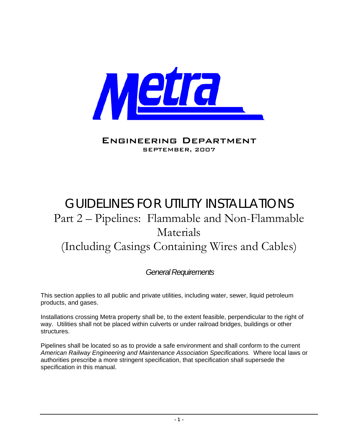

### Engineering Department SEPTEMBER, 2007

# GUIDELINES FOR UTILITY INSTALLATIONS Part 2 – Pipelines: Flammable and Non-Flammable Materials (Including Casings Containing Wires and Cables)

### *General Requirements*

This section applies to all public and private utilities, including water, sewer, liquid petroleum products, and gases.

Installations crossing Metra property shall be, to the extent feasible, perpendicular to the right of way. Utilities shall not be placed within culverts or under railroad bridges, buildings or other structures.

Pipelines shall be located so as to provide a safe environment and shall conform to the current *American Railway Engineering and Maintenance Association Specifications.* Where local laws or authorities prescribe a more stringent specification, that specification shall supersede the specification in this manual.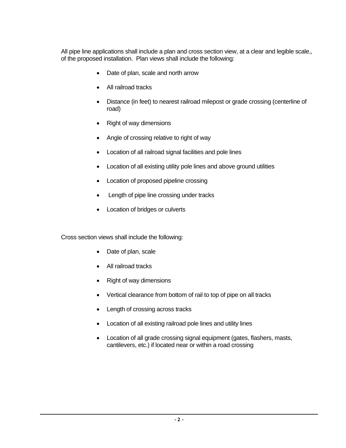All pipe line applications shall include a plan and cross section view, at a clear and legible scale,, of the proposed installation. Plan views shall include the following:

- Date of plan, scale and north arrow
- All railroad tracks
- Distance (in feet) to nearest railroad milepost or grade crossing (centerline of road)
- Right of way dimensions
- Angle of crossing relative to right of way
- Location of all railroad signal facilities and pole lines
- Location of all existing utility pole lines and above ground utilities
- Location of proposed pipeline crossing
- Length of pipe line crossing under tracks
- Location of bridges or culverts

Cross section views shall include the following:

- Date of plan, scale
- All railroad tracks
- Right of way dimensions
- Vertical clearance from bottom of rail to top of pipe on all tracks
- Length of crossing across tracks
- Location of all existing railroad pole lines and utility lines
- Location of all grade crossing signal equipment (gates, flashers, masts, cantilevers, etc.) if located near or within a road crossing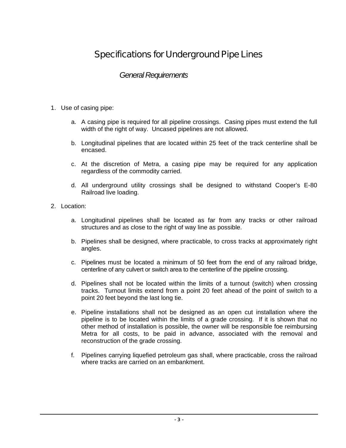## Specifications for Underground Pipe Lines

### *General Requirements*

- 1. Use of casing pipe:
	- a. A casing pipe is required for all pipeline crossings. Casing pipes must extend the full width of the right of way. Uncased pipelines are not allowed.
	- b. Longitudinal pipelines that are located within 25 feet of the track centerline shall be encased.
	- c. At the discretion of Metra, a casing pipe may be required for any application regardless of the commodity carried.
	- d. All underground utility crossings shall be designed to withstand Cooper's E-80 Railroad live loading.
- 2. Location:
	- a. Longitudinal pipelines shall be located as far from any tracks or other railroad structures and as close to the right of way line as possible.
	- b. Pipelines shall be designed, where practicable, to cross tracks at approximately right angles.
	- c. Pipelines must be located a minimum of 50 feet from the end of any railroad bridge, centerline of any culvert or switch area to the centerline of the pipeline crossing.
	- d. Pipelines shall not be located within the limits of a turnout (switch) when crossing tracks. Turnout limits extend from a point 20 feet ahead of the point of switch to a point 20 feet beyond the last long tie.
	- e. Pipeline installations shall not be designed as an open cut installation where the pipeline is to be located within the limits of a grade crossing. If it is shown that no other method of installation is possible, the owner will be responsible foe reimbursing Metra for all costs, to be paid in advance, associated with the removal and reconstruction of the grade crossing.
	- f. Pipelines carrying liquefied petroleum gas shall, where practicable, cross the railroad where tracks are carried on an embankment.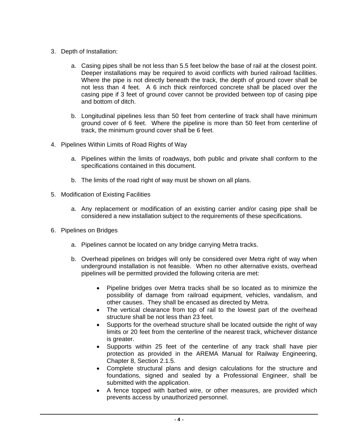- 3. Depth of Installation:
	- a. Casing pipes shall be not less than 5.5 feet below the base of rail at the closest point. Deeper installations may be required to avoid conflicts with buried railroad facilities. Where the pipe is not directly beneath the track, the depth of ground cover shall be not less than 4 feet. A 6 inch thick reinforced concrete shall be placed over the casing pipe if 3 feet of ground cover cannot be provided between top of casing pipe and bottom of ditch.
	- b. Longitudinal pipelines less than 50 feet from centerline of track shall have minimum ground cover of 6 feet. Where the pipeline is more than 50 feet from centerline of track, the minimum ground cover shall be 6 feet.
- 4. Pipelines Within Limits of Road Rights of Way
	- a. Pipelines within the limits of roadways, both public and private shall conform to the specifications contained in this document.
	- b. The limits of the road right of way must be shown on all plans.
- 5. Modification of Existing Facilities
	- a. Any replacement or modification of an existing carrier and/or casing pipe shall be considered a new installation subject to the requirements of these specifications.
- 6. Pipelines on Bridges
	- a. Pipelines cannot be located on any bridge carrying Metra tracks.
	- b. Overhead pipelines on bridges will only be considered over Metra right of way when underground installation is not feasible. When no other alternative exists, overhead pipelines will be permitted provided the following criteria are met:
		- Pipeline bridges over Metra tracks shall be so located as to minimize the possibility of damage from railroad equipment, vehicles, vandalism, and other causes. They shall be encased as directed by Metra.
		- The vertical clearance from top of rail to the lowest part of the overhead structure shall be not less than 23 feet.
		- Supports for the overhead structure shall be located outside the right of way limits or 20 feet from the centerline of the nearest track, whichever distance is greater.
		- Supports within 25 feet of the centerline of any track shall have pier protection as provided in the AREMA Manual for Railway Engineering, Chapter 8, Section 2.1.5.
		- Complete structural plans and design calculations for the structure and foundations, signed and sealed by a Professional Engineer, shall be submitted with the application.
		- A fence topped with barbed wire, or other measures, are provided which prevents access by unauthorized personnel.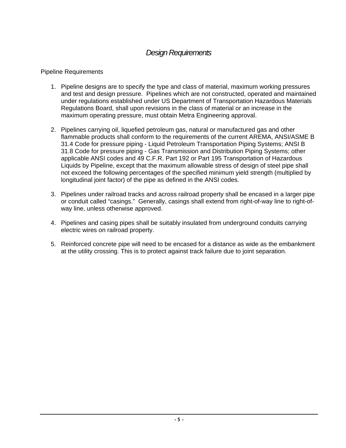### *Design Requirements*

#### Pipeline Requirements

- 1. Pipeline designs are to specify the type and class of material, maximum working pressures and test and design pressure. Pipelines which are not constructed, operated and maintained under regulations established under US Department of Transportation Hazardous Materials Regulations Board, shall upon revisions in the class of material or an increase in the maximum operating pressure, must obtain Metra Engineering approval.
- 2. Pipelines carrying oil, liquefied petroleum gas, natural or manufactured gas and other flammable products shall conform to the requirements of the current AREMA, ANSI/ASME B 31.4 Code for pressure piping - Liquid Petroleum Transportation Piping Systems; ANSI B 31.8 Code for pressure piping - Gas Transmission and Distribution Piping Systems; other applicable ANSI codes and 49 C.F.R. Part 192 or Part 195 Transportation of Hazardous Liquids by Pipeline, except that the maximum allowable stress of design of steel pipe shall not exceed the following percentages of the specified minimum yield strength (multiplied by longitudinal joint factor) of the pipe as defined in the ANSI codes.
- 3. Pipelines under railroad tracks and across railroad property shall be encased in a larger pipe or conduit called "casings." Generally, casings shall extend from right-of-way line to right-ofway line, unless otherwise approved.
- 4. Pipelines and casing pipes shall be suitably insulated from underground conduits carrying electric wires on railroad property.
- 5. Reinforced concrete pipe will need to be encased for a distance as wide as the embankment at the utility crossing. This is to protect against track failure due to joint separation.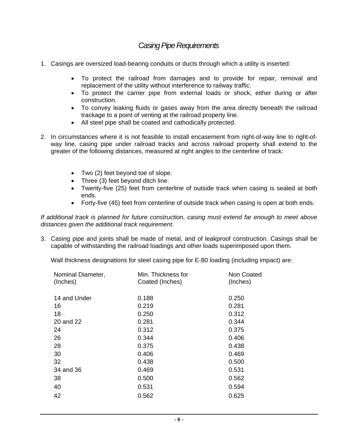### *Casing Pipe Requirements*

- 1. Casings are oversized load-bearing conduits or ducts through which a utility is inserted:
	- To protect the railroad from damages and to provide for repair, removal and replacement of the utility without interference to railway traffic.
	- To protect the carrier pipe from external loads or shock, either during or after construction.
	- To convey leaking fluids or gases away from the area directly beneath the railroad trackage to a point of venting at the railroad property line.
	- All steel pipe shall be coated and cathodically protected.
- 2. In circumstances where it is not feasible to install encasement from right-of-way line to right-ofway line, casing pipe under railroad tracks and across railroad property shall extend to the greater of the following distances, measured at right angles to the centerline of track:
	- Two (2) feet beyond toe of slope.
	- Three (3) feet beyond ditch line.
	- Twenty-five (25) feet from centerline of outside track when casing is sealed at both ends.
	- Forty-five (45) feet from centerline of outside track when casing is open at both ends.

*If additional track is planned for future construction, casing must extend far enough to meet above distances given the additional track requirement.* 

3. Casing pipe and joints shall be made of metal, and of leakproof construction. Casings shall be capable of withstanding the railroad loadings and other loads superimposed upon them.

Wall thickness designations for steel casing pipe for E-80 loading (including impact) are:

| Nominal Diameter,<br>(Inches) | Min. Thickness for<br>Coated (Inches) | Non Coated<br>(Inches) |
|-------------------------------|---------------------------------------|------------------------|
| 14 and Under                  | 0.188                                 | 0.250                  |
| 16                            | 0.219                                 | 0.281                  |
| 18                            | 0.250                                 | 0.312                  |
| 20 and 22                     | 0.281                                 | 0.344                  |
| 24                            | 0.312                                 | 0.375                  |
| 26                            | 0.344                                 | 0.406                  |
| 28                            | 0.375                                 | 0.438                  |
| 30                            | 0.406                                 | 0.469                  |
| 32                            | 0.438                                 | 0.500                  |
| 34 and 36                     | 0.469                                 | 0.531                  |
| 38                            | 0.500                                 | 0.562                  |
| 40                            | 0.531                                 | 0.594                  |
| 42                            | 0.562                                 | 0.625                  |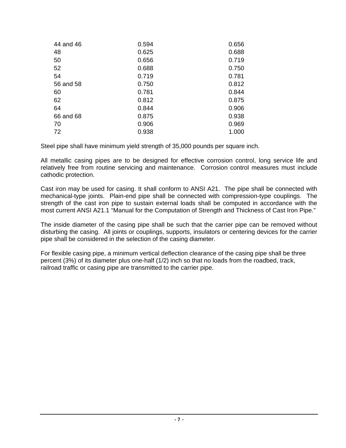| 44 and 46 | 0.594 | 0.656 |
|-----------|-------|-------|
| 48        | 0.625 | 0.688 |
| 50        | 0.656 | 0.719 |
| 52        | 0.688 | 0.750 |
| 54        | 0.719 | 0.781 |
| 56 and 58 | 0.750 | 0.812 |
| 60        | 0.781 | 0.844 |
| 62        | 0.812 | 0.875 |
| 64        | 0.844 | 0.906 |
| 66 and 68 | 0.875 | 0.938 |
| 70        | 0.906 | 0.969 |
| 72        | 0.938 | 1.000 |

Steel pipe shall have minimum yield strength of 35,000 pounds per square inch.

All metallic casing pipes are to be designed for effective corrosion control, long service life and relatively free from routine servicing and maintenance. Corrosion control measures must include cathodic protection.

Cast iron may be used for casing. It shall conform to ANSI A21. The pipe shall be connected with mechanical-type joints. Plain-end pipe shall be connected with compression-type couplings. The strength of the cast iron pipe to sustain external loads shall be computed in accordance with the most current ANSI A21.1 "Manual for the Computation of Strength and Thickness of Cast Iron Pipe."

The inside diameter of the casing pipe shall be such that the carrier pipe can be removed without disturbing the casing. All joints or couplings, supports, insulators or centering devices for the carrier pipe shall be considered in the selection of the casing diameter.

For flexible casing pipe, a minimum vertical deflection clearance of the casing pipe shall be three percent (3%) of its diameter plus one-half (1/2) inch so that no loads from the roadbed, track, railroad traffic or casing pipe are transmitted to the carrier pipe.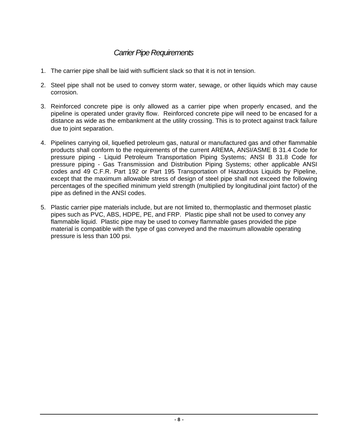### *Carrier Pipe Requirements*

- 1. The carrier pipe shall be laid with sufficient slack so that it is not in tension.
- 2. Steel pipe shall not be used to convey storm water, sewage, or other liquids which may cause corrosion.
- 3. Reinforced concrete pipe is only allowed as a carrier pipe when properly encased, and the pipeline is operated under gravity flow. Reinforced concrete pipe will need to be encased for a distance as wide as the embankment at the utility crossing. This is to protect against track failure due to joint separation.
- 4. Pipelines carrying oil, liquefied petroleum gas, natural or manufactured gas and other flammable products shall conform to the requirements of the current AREMA, ANSI/ASME B 31.4 Code for pressure piping - Liquid Petroleum Transportation Piping Systems; ANSI B 31.8 Code for pressure piping - Gas Transmission and Distribution Piping Systems; other applicable ANSI codes and 49 C.F.R. Part 192 or Part 195 Transportation of Hazardous Liquids by Pipeline, except that the maximum allowable stress of design of steel pipe shall not exceed the following percentages of the specified minimum yield strength (multiplied by longitudinal joint factor) of the pipe as defined in the ANSI codes.
- 5. Plastic carrier pipe materials include, but are not limited to, thermoplastic and thermoset plastic pipes such as PVC, ABS, HDPE, PE, and FRP. Plastic pipe shall not be used to convey any flammable liquid. Plastic pipe may be used to convey flammable gases provided the pipe material is compatible with the type of gas conveyed and the maximum allowable operating pressure is less than 100 psi.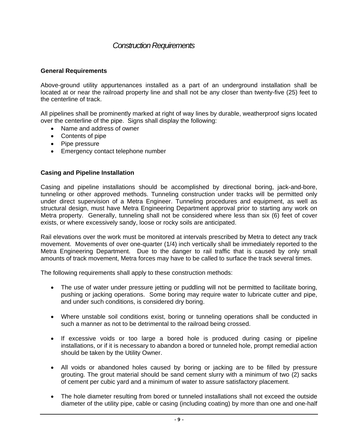### *Construction Requirements*

#### **General Requirements**

Above-ground utility appurtenances installed as a part of an underground installation shall be located at or near the railroad property line and shall not be any closer than twenty-five (25) feet to the centerline of track.

All pipelines shall be prominently marked at right of way lines by durable, weatherproof signs located over the centerline of the pipe. Signs shall display the following:

- Name and address of owner
- Contents of pipe
- Pipe pressure
- Emergency contact telephone number

#### **Casing and Pipeline Installation**

Casing and pipeline installations should be accomplished by directional boring, jack-and-bore, tunneling or other approved methods. Tunneling construction under tracks will be permitted only under direct supervision of a Metra Engineer. Tunneling procedures and equipment, as well as structural design, must have Metra Engineering Department approval prior to starting any work on Metra property. Generally, tunneling shall not be considered where less than six (6) feet of cover exists, or where excessively sandy, loose or rocky soils are anticipated.

Rail elevations over the work must be monitored at intervals prescribed by Metra to detect any track movement. Movements of over one-quarter (1/4) inch vertically shall be immediately reported to the Metra Engineering Department. Due to the danger to rail traffic that is caused by only small amounts of track movement, Metra forces may have to be called to surface the track several times.

The following requirements shall apply to these construction methods:

- The use of water under pressure jetting or puddling will not be permitted to facilitate boring, pushing or jacking operations. Some boring may require water to lubricate cutter and pipe, and under such conditions, is considered dry boring.
- Where unstable soil conditions exist, boring or tunneling operations shall be conducted in such a manner as not to be detrimental to the railroad being crossed.
- If excessive voids or too large a bored hole is produced during casing or pipeline installations, or if it is necessary to abandon a bored or tunneled hole, prompt remedial action should be taken by the Utility Owner.
- All voids or abandoned holes caused by boring or jacking are to be filled by pressure grouting. The grout material should be sand cement slurry with a minimum of two (2) sacks of cement per cubic yard and a minimum of water to assure satisfactory placement.
- The hole diameter resulting from bored or tunneled installations shall not exceed the outside diameter of the utility pipe, cable or casing (including coating) by more than one and one-half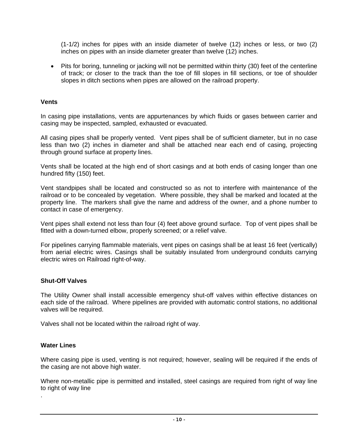(1-1/2) inches for pipes with an inside diameter of twelve (12) inches or less, or two (2) inches on pipes with an inside diameter greater than twelve (12) inches.

• Pits for boring, tunneling or jacking will not be permitted within thirty (30) feet of the centerline of track; or closer to the track than the toe of fill slopes in fill sections, or toe of shoulder slopes in ditch sections when pipes are allowed on the railroad property.

#### **Vents**

In casing pipe installations, vents are appurtenances by which fluids or gases between carrier and casing may be inspected, sampled, exhausted or evacuated.

All casing pipes shall be properly vented. Vent pipes shall be of sufficient diameter, but in no case less than two (2) inches in diameter and shall be attached near each end of casing, projecting through ground surface at property lines.

Vents shall be located at the high end of short casings and at both ends of casing longer than one hundred fifty (150) feet.

Vent standpipes shall be located and constructed so as not to interfere with maintenance of the railroad or to be concealed by vegetation. Where possible, they shall be marked and located at the property line. The markers shall give the name and address of the owner, and a phone number to contact in case of emergency.

Vent pipes shall extend not less than four (4) feet above ground surface. Top of vent pipes shall be fitted with a down-turned elbow, properly screened; or a relief valve.

For pipelines carrying flammable materials, vent pipes on casings shall be at least 16 feet (vertically) from aerial electric wires. Casings shall be suitably insulated from underground conduits carrying electric wires on Railroad right-of-way.

#### **Shut-Off Valves**

The Utility Owner shall install accessible emergency shut-off valves within effective distances on each side of the railroad. Where pipelines are provided with automatic control stations, no additional valves will be required.

Valves shall not be located within the railroad right of way.

#### **Water Lines**

.

Where casing pipe is used, venting is not required; however, sealing will be required if the ends of the casing are not above high water.

Where non-metallic pipe is permitted and installed, steel casings are required from right of way line to right of way line